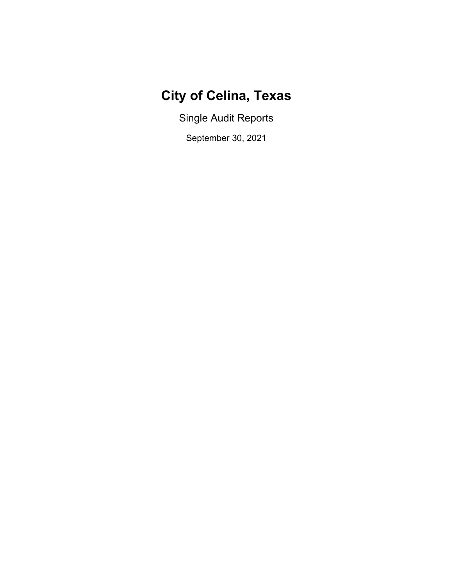# **City of Celina, Texas**

Single Audit Reports

September 30, 2021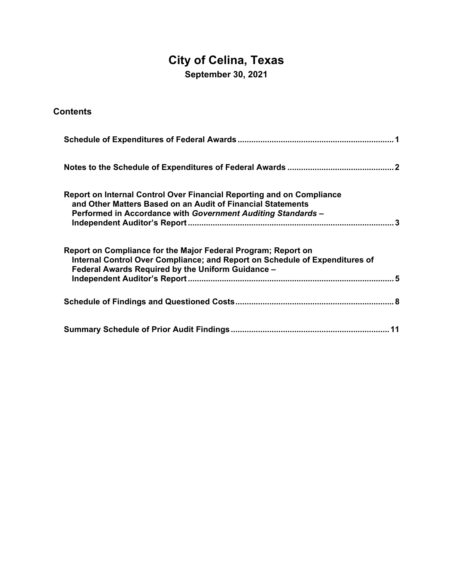# **City of Celina, Texas**

**September 30, 2021** 

| <b>Contents</b>                                                                                                                                                                                      |
|------------------------------------------------------------------------------------------------------------------------------------------------------------------------------------------------------|
|                                                                                                                                                                                                      |
|                                                                                                                                                                                                      |
| Report on Internal Control Over Financial Reporting and on Compliance<br>and Other Matters Based on an Audit of Financial Statements<br>Performed in Accordance with Government Auditing Standards - |
| Report on Compliance for the Major Federal Program; Report on<br>Internal Control Over Compliance; and Report on Schedule of Expenditures of<br>Federal Awards Required by the Uniform Guidance -    |
|                                                                                                                                                                                                      |
|                                                                                                                                                                                                      |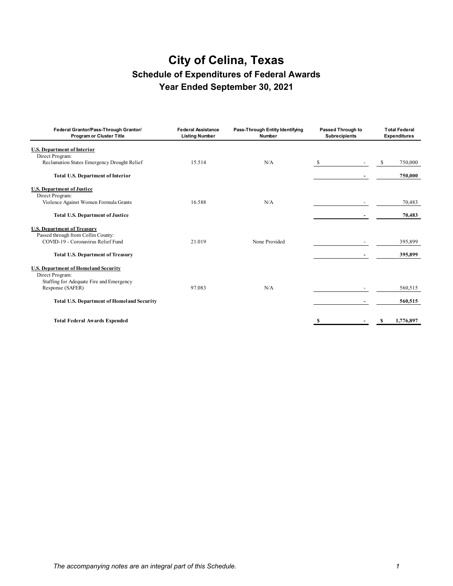# **City of Celina, Texas Schedule of Expenditures of Federal Awards Year Ended September 30, 2021**

| Federal Grantor/Pass-Through Grantor/<br><b>Program or Cluster Title</b> | <b>Federal Assistance</b><br><b>Listing Number</b> | Pass-Through Entity Identifying<br><b>Number</b> |              | <b>Passed Through to</b><br><b>Subrecipients</b> |   | <b>Total Federal</b><br><b>Expenditures</b> |
|--------------------------------------------------------------------------|----------------------------------------------------|--------------------------------------------------|--------------|--------------------------------------------------|---|---------------------------------------------|
| <b>U.S. Department of Interior</b>                                       |                                                    |                                                  |              |                                                  |   |                                             |
| Direct Program:                                                          |                                                    |                                                  |              |                                                  |   |                                             |
| Reclamation States Emergency Drought Relief                              | 15.514                                             | N/A                                              | $\mathbb{S}$ |                                                  | S | 750,000                                     |
| <b>Total U.S. Department of Interior</b>                                 |                                                    |                                                  |              |                                                  |   | 750,000                                     |
| <b>U.S. Department of Justice</b>                                        |                                                    |                                                  |              |                                                  |   |                                             |
| Direct Program:                                                          |                                                    |                                                  |              |                                                  |   |                                             |
| Violence Against Women Formula Grants                                    | 16.588                                             | N/A                                              |              |                                                  |   | 70,483                                      |
| <b>Total U.S. Department of Justice</b>                                  |                                                    |                                                  |              |                                                  |   | 70,483                                      |
| <b>U.S. Department of Treasury</b>                                       |                                                    |                                                  |              |                                                  |   |                                             |
| Passed through from Collin County:                                       |                                                    |                                                  |              |                                                  |   |                                             |
| COVID-19 - Coronavirus Relief Fund                                       | 21.019                                             | None Provided                                    |              |                                                  |   | 395,899                                     |
| <b>Total U.S. Department of Treasury</b>                                 |                                                    |                                                  |              |                                                  |   | 395,899                                     |
| <b>U.S. Department of Homeland Security</b><br>Direct Program:           |                                                    |                                                  |              |                                                  |   |                                             |
| Staffing for Adequate Fire and Emergency                                 |                                                    |                                                  |              |                                                  |   |                                             |
| Response (SAFER)                                                         | 97.083                                             | N/A                                              |              |                                                  |   | 560,515                                     |
|                                                                          |                                                    |                                                  |              |                                                  |   |                                             |
| <b>Total U.S. Department of Homeland Security</b>                        |                                                    |                                                  |              |                                                  |   | 560,515                                     |
|                                                                          |                                                    |                                                  |              |                                                  |   |                                             |
| <b>Total Federal Awards Expended</b>                                     |                                                    |                                                  | s            |                                                  | S | 1,776,897                                   |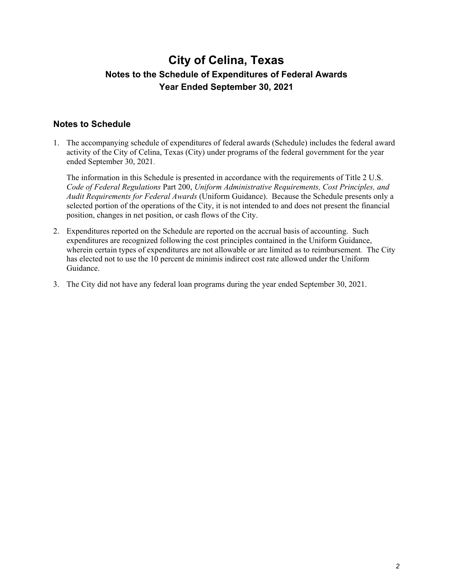# **City of Celina, Texas Notes to the Schedule of Expenditures of Federal Awards Year Ended September 30, 2021**

### **Notes to Schedule**

1. The accompanying schedule of expenditures of federal awards (Schedule) includes the federal award activity of the City of Celina, Texas (City) under programs of the federal government for the year ended September 30, 2021.

The information in this Schedule is presented in accordance with the requirements of Title 2 U.S. *Code of Federal Regulations* Part 200, *Uniform Administrative Requirements, Cost Principles, and Audit Requirements for Federal Awards* (Uniform Guidance). Because the Schedule presents only a selected portion of the operations of the City, it is not intended to and does not present the financial position, changes in net position, or cash flows of the City.

- 2. Expenditures reported on the Schedule are reported on the accrual basis of accounting. Such expenditures are recognized following the cost principles contained in the Uniform Guidance, wherein certain types of expenditures are not allowable or are limited as to reimbursement*.* The City has elected not to use the 10 percent de minimis indirect cost rate allowed under the Uniform Guidance.
- 3. The City did not have any federal loan programs during the year ended September 30, 2021.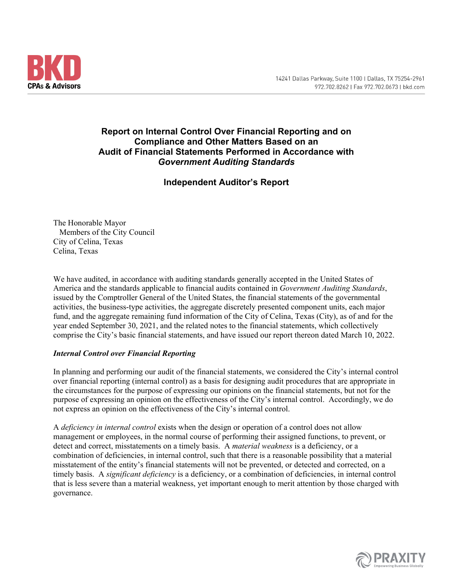

### **Report on Internal Control Over Financial Reporting and on Compliance and Other Matters Based on an Audit of Financial Statements Performed in Accordance with**  *Government Auditing Standards*

## **Independent Auditor's Report**

The Honorable Mayor Members of the City Council City of Celina, Texas Celina, Texas

We have audited, in accordance with auditing standards generally accepted in the United States of America and the standards applicable to financial audits contained in *Government Auditing Standards*, issued by the Comptroller General of the United States, the financial statements of the governmental activities, the business-type activities, the aggregate discretely presented component units, each major fund, and the aggregate remaining fund information of the City of Celina, Texas (City), as of and for the year ended September 30, 2021, and the related notes to the financial statements, which collectively comprise the City's basic financial statements, and have issued our report thereon dated March 10, 2022.

#### *Internal Control over Financial Reporting*

In planning and performing our audit of the financial statements, we considered the City's internal control over financial reporting (internal control) as a basis for designing audit procedures that are appropriate in the circumstances for the purpose of expressing our opinions on the financial statements, but not for the purpose of expressing an opinion on the effectiveness of the City's internal control. Accordingly, we do not express an opinion on the effectiveness of the City's internal control.

A *deficiency in internal control* exists when the design or operation of a control does not allow management or employees, in the normal course of performing their assigned functions, to prevent, or detect and correct, misstatements on a timely basis. A *material weakness* is a deficiency, or a combination of deficiencies, in internal control, such that there is a reasonable possibility that a material misstatement of the entity's financial statements will not be prevented, or detected and corrected, on a timely basis. A *significant deficiency* is a deficiency, or a combination of deficiencies, in internal control that is less severe than a material weakness, yet important enough to merit attention by those charged with governance.

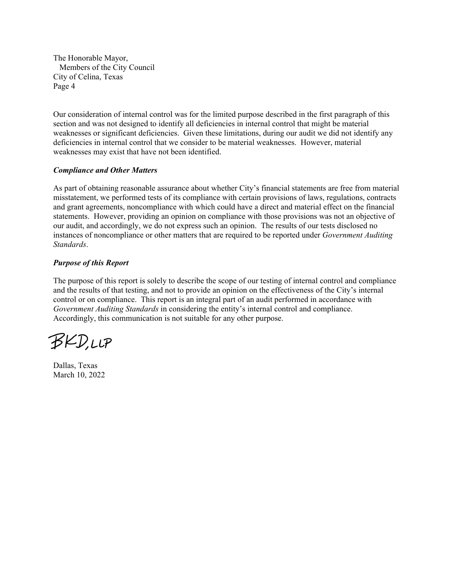The Honorable Mayor, Members of the City Council City of Celina, Texas Page 4

Our consideration of internal control was for the limited purpose described in the first paragraph of this section and was not designed to identify all deficiencies in internal control that might be material weaknesses or significant deficiencies. Given these limitations, during our audit we did not identify any deficiencies in internal control that we consider to be material weaknesses. However, material weaknesses may exist that have not been identified.

#### *Compliance and Other Matters*

As part of obtaining reasonable assurance about whether City's financial statements are free from material misstatement, we performed tests of its compliance with certain provisions of laws, regulations, contracts and grant agreements, noncompliance with which could have a direct and material effect on the financial statements. However, providing an opinion on compliance with those provisions was not an objective of our audit, and accordingly, we do not express such an opinion. The results of our tests disclosed no instances of noncompliance or other matters that are required to be reported under *Government Auditing Standards*.

#### *Purpose of this Report*

The purpose of this report is solely to describe the scope of our testing of internal control and compliance and the results of that testing, and not to provide an opinion on the effectiveness of the City's internal control or on compliance. This report is an integral part of an audit performed in accordance with *Government Auditing Standards* in considering the entity's internal control and compliance. Accordingly, this communication is not suitable for any other purpose.

**BKD,LLP** 

Dallas, Texas March 10, 2022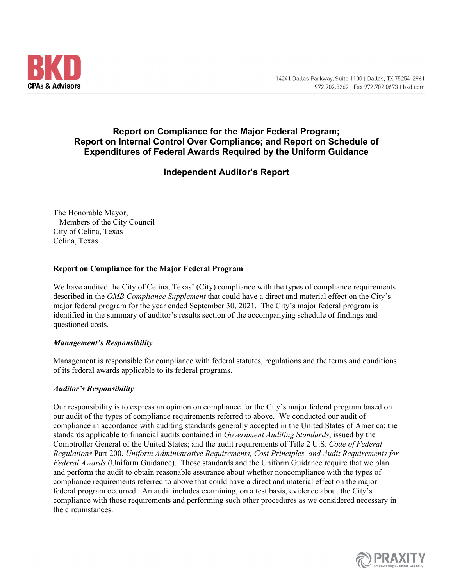

### **Report on Compliance for the Major Federal Program; Report on Internal Control Over Compliance; and Report on Schedule of Expenditures of Federal Awards Required by the Uniform Guidance**

### **Independent Auditor's Report**

The Honorable Mayor, Members of the City Council City of Celina, Texas Celina, Texas

#### **Report on Compliance for the Major Federal Program**

We have audited the City of Celina, Texas' (City) compliance with the types of compliance requirements described in the *OMB Compliance Supplement* that could have a direct and material effect on the City's major federal program for the year ended September 30, 2021. The City's major federal program is identified in the summary of auditor's results section of the accompanying schedule of findings and questioned costs.

#### *Management's Responsibility*

Management is responsible for compliance with federal statutes, regulations and the terms and conditions of its federal awards applicable to its federal programs.

#### *Auditor's Responsibility*

Our responsibility is to express an opinion on compliance for the City's major federal program based on our audit of the types of compliance requirements referred to above. We conducted our audit of compliance in accordance with auditing standards generally accepted in the United States of America; the standards applicable to financial audits contained in *Government Auditing Standards*, issued by the Comptroller General of the United States; and the audit requirements of Title 2 U.S. *Code of Federal Regulations* Part 200, *Uniform Administrative Requirements, Cost Principles, and Audit Requirements for Federal Awards* (Uniform Guidance). Those standards and the Uniform Guidance require that we plan and perform the audit to obtain reasonable assurance about whether noncompliance with the types of compliance requirements referred to above that could have a direct and material effect on the major federal program occurred. An audit includes examining, on a test basis, evidence about the City's compliance with those requirements and performing such other procedures as we considered necessary in the circumstances.

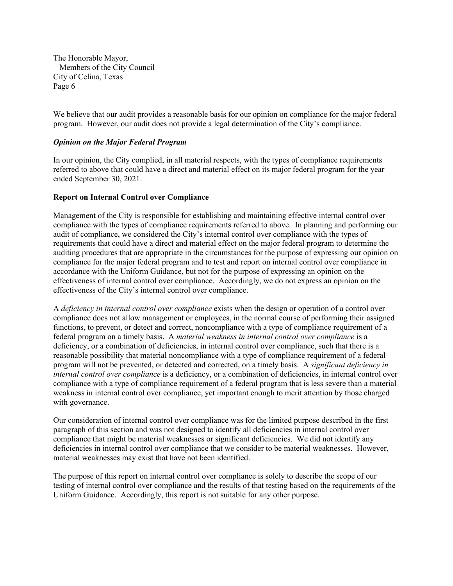The Honorable Mayor, Members of the City Council City of Celina, Texas Page 6

We believe that our audit provides a reasonable basis for our opinion on compliance for the major federal program. However, our audit does not provide a legal determination of the City's compliance.

#### *Opinion on the Major Federal Program*

In our opinion, the City complied, in all material respects, with the types of compliance requirements referred to above that could have a direct and material effect on its major federal program for the year ended September 30, 2021.

#### **Report on Internal Control over Compliance**

Management of the City is responsible for establishing and maintaining effective internal control over compliance with the types of compliance requirements referred to above. In planning and performing our audit of compliance, we considered the City's internal control over compliance with the types of requirements that could have a direct and material effect on the major federal program to determine the auditing procedures that are appropriate in the circumstances for the purpose of expressing our opinion on compliance for the major federal program and to test and report on internal control over compliance in accordance with the Uniform Guidance, but not for the purpose of expressing an opinion on the effectiveness of internal control over compliance. Accordingly, we do not express an opinion on the effectiveness of the City's internal control over compliance.

A *deficiency in internal control over compliance* exists when the design or operation of a control over compliance does not allow management or employees, in the normal course of performing their assigned functions, to prevent, or detect and correct, noncompliance with a type of compliance requirement of a federal program on a timely basis. A *material weakness in internal control over compliance* is a deficiency, or a combination of deficiencies, in internal control over compliance, such that there is a reasonable possibility that material noncompliance with a type of compliance requirement of a federal program will not be prevented, or detected and corrected, on a timely basis. A *significant deficiency in internal control over compliance* is a deficiency, or a combination of deficiencies, in internal control over compliance with a type of compliance requirement of a federal program that is less severe than a material weakness in internal control over compliance, yet important enough to merit attention by those charged with governance.

Our consideration of internal control over compliance was for the limited purpose described in the first paragraph of this section and was not designed to identify all deficiencies in internal control over compliance that might be material weaknesses or significant deficiencies. We did not identify any deficiencies in internal control over compliance that we consider to be material weaknesses. However, material weaknesses may exist that have not been identified.

The purpose of this report on internal control over compliance is solely to describe the scope of our testing of internal control over compliance and the results of that testing based on the requirements of the Uniform Guidance. Accordingly, this report is not suitable for any other purpose.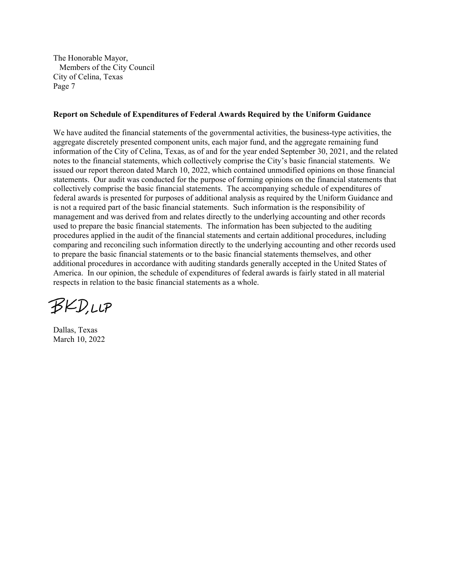The Honorable Mayor, Members of the City Council City of Celina, Texas Page 7

#### **Report on Schedule of Expenditures of Federal Awards Required by the Uniform Guidance**

We have audited the financial statements of the governmental activities, the business-type activities, the aggregate discretely presented component units, each major fund, and the aggregate remaining fund information of the City of Celina, Texas, as of and for the year ended September 30, 2021, and the related notes to the financial statements, which collectively comprise the City's basic financial statements. We issued our report thereon dated March 10, 2022, which contained unmodified opinions on those financial statements. Our audit was conducted for the purpose of forming opinions on the financial statements that collectively comprise the basic financial statements. The accompanying schedule of expenditures of federal awards is presented for purposes of additional analysis as required by the Uniform Guidance and is not a required part of the basic financial statements. Such information is the responsibility of management and was derived from and relates directly to the underlying accounting and other records used to prepare the basic financial statements. The information has been subjected to the auditing procedures applied in the audit of the financial statements and certain additional procedures, including comparing and reconciling such information directly to the underlying accounting and other records used to prepare the basic financial statements or to the basic financial statements themselves, and other additional procedures in accordance with auditing standards generally accepted in the United States of America. In our opinion, the schedule of expenditures of federal awards is fairly stated in all material respects in relation to the basic financial statements as a whole.

**BKD,LLP** 

Dallas, Texas March 10, 2022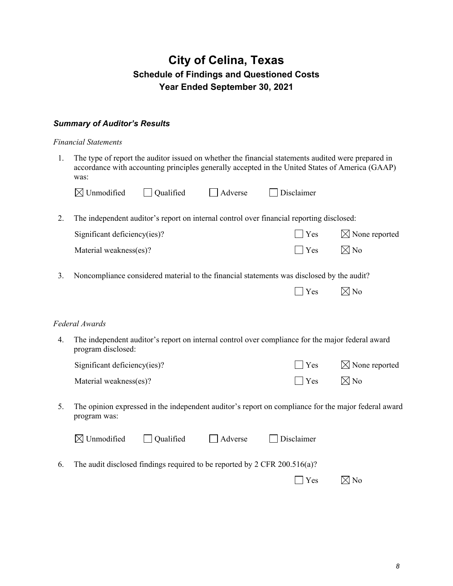# **City of Celina, Texas Schedule of Findings and Questioned Costs Year Ended September 30, 2021**

### *Summary of Auditor's Results*

#### *Financial Statements*

1. The type of report the auditor issued on whether the financial statements audited were prepared in accordance with accounting principles generally accepted in the United States of America (GAAP) was:

| $\boxtimes$ Unmodified | Qualified | Adverse | Disclaimer |  |
|------------------------|-----------|---------|------------|--|
|------------------------|-----------|---------|------------|--|

2. The independent auditor's report on internal control over financial reporting disclosed:

| Significant deficiency(ies)? | $\Box$ Yes | $\boxtimes$ None reported |
|------------------------------|------------|---------------------------|
| Material weakness(es)?       | $\Box$ Yes | $\boxtimes$ No            |

3. Noncompliance considered material to the financial statements was disclosed by the audit?

|  |  | No<br>ΧI |
|--|--|----------|
|--|--|----------|

#### *Federal Awards*

4. The independent auditor's report on internal control over compliance for the major federal award program disclosed:

| Significant deficiency(ies)? | $\Box$ Yes                    | $\boxtimes$ None reported |
|------------------------------|-------------------------------|---------------------------|
| Material weakness(es)?       | $\bigcap$ Yes $\bigotimes$ No |                           |

5. The opinion expressed in the independent auditor's report on compliance for the major federal award program was:

| $\boxtimes$ Unmodified | Qualified | $\Box$ Adverse | Disclaimer |
|------------------------|-----------|----------------|------------|
|                        |           |                |            |

6. The audit disclosed findings required to be reported by 2 CFR 200.516(a)?

 $\Box$  Yes  $\boxtimes$  No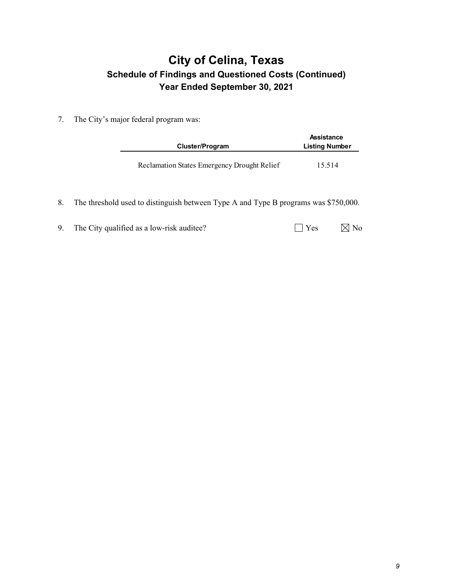# **City of Celina, Texas Schedule of Findings and Questioned Costs (Continued) Year Ended September 30, 2021**

7. The City's major federal program was:

| Cluster/Program                             | <b>Assistance</b><br><b>Listing Number</b> |
|---------------------------------------------|--------------------------------------------|
| Reclamation States Emergency Drought Relief | 15.514                                     |

- 8. The threshold used to distinguish between Type A and Type B programs was \$750,000.
- 9. The City qualified as a low-risk auditee?  $\Box$  Yes  $\Box$  No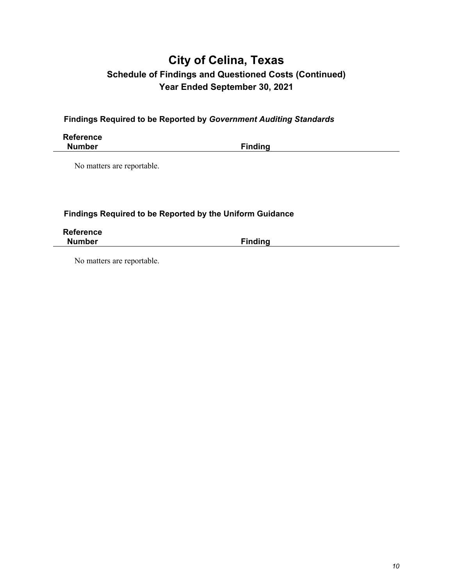# **City of Celina, Texas Schedule of Findings and Questioned Costs (Continued) Year Ended September 30, 2021**

**Findings Required to be Reported by** *Government Auditing Standards* 

| <b>Reference</b> |                |
|------------------|----------------|
| <b>Number</b>    | <b>Finding</b> |

No matters are reportable.

### **Findings Required to be Reported by the Uniform Guidance**

**Reference** 

**Finding** 

No matters are reportable.